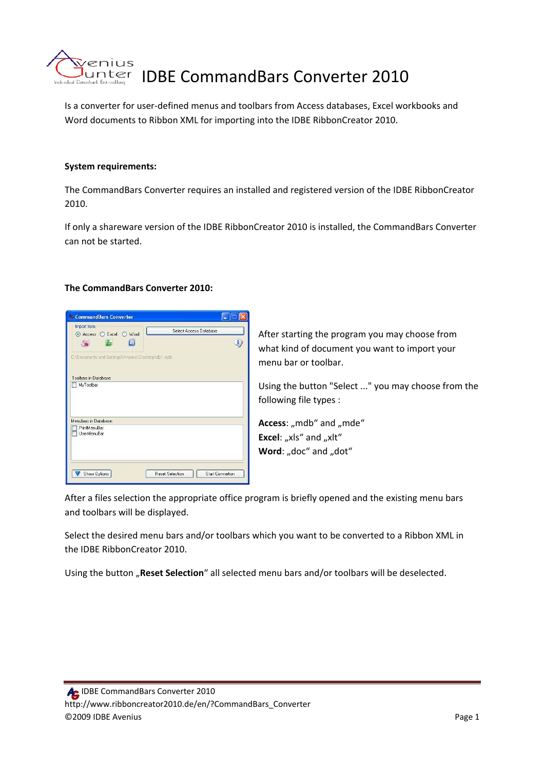

Is a converter for user‐defined menus and toolbars from Access databases, Excel workbooks and Word documents to Ribbon XML for importing into the IDBE RibbonCreator 2010.

## **System requirements:**

The CommandBars Converter requires an installed and registered version of the IDBE RibbonCreator 2010.

If only a shareware version of the IDBE RibbonCreator 2010 is installed, the CommandBars Converter can not be started.

### **The CommandBars Converter 2010:**



After starting the program you may choose from what kind of document you want to import your menu bar or toolbar.

Using the button "Select ..." you may choose from the following file types :

Access: "mdb" and "mde" **Excel:** "xls" and "xlt" **Word:** "doc" and "dot"

After a files selection the appropriate office program is briefly opened and the existing menu bars and toolbars will be displayed.

Select the desired menu bars and/or toolbars which you want to be converted to a Ribbon XML in the IDBE RibbonCreator 2010.

Using the button "Reset Selection" all selected menu bars and/or toolbars will be deselected.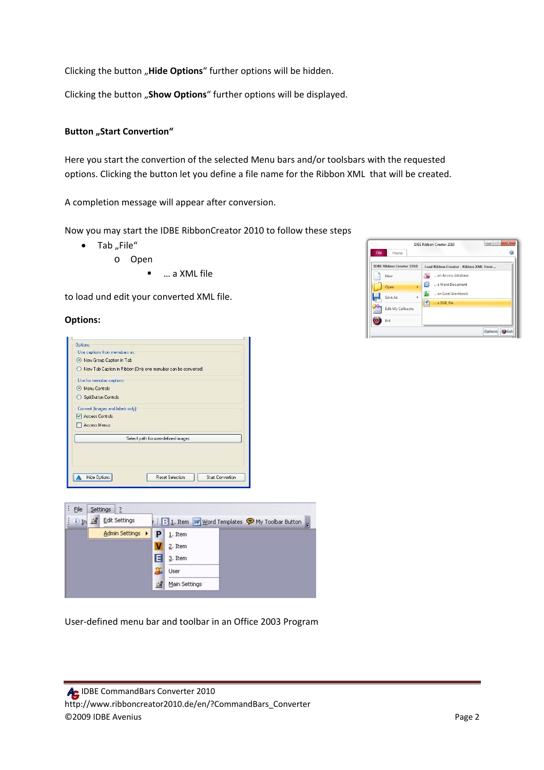Clicking the button "Hide Options" further options will be hidden.

Clicking the button "Show Options" further options will be displayed.

# **Button** "Start Convertion"

Here you start the convertion of the selected Menu bars and/or toolsbars with the requested options. Clicking the button let you define a file name for the Ribbon XML that will be created.

A completion message will appear after conversion.

Now you may start the IDBE RibbonCreator 2010 to follow these steps

- $\bullet$  Tab "File"
	- o Open
		- … a XML file

to load und edit your converted XML file.

### **Options:**





User‐defined menu bar and toolbar in an Office 2003 Program

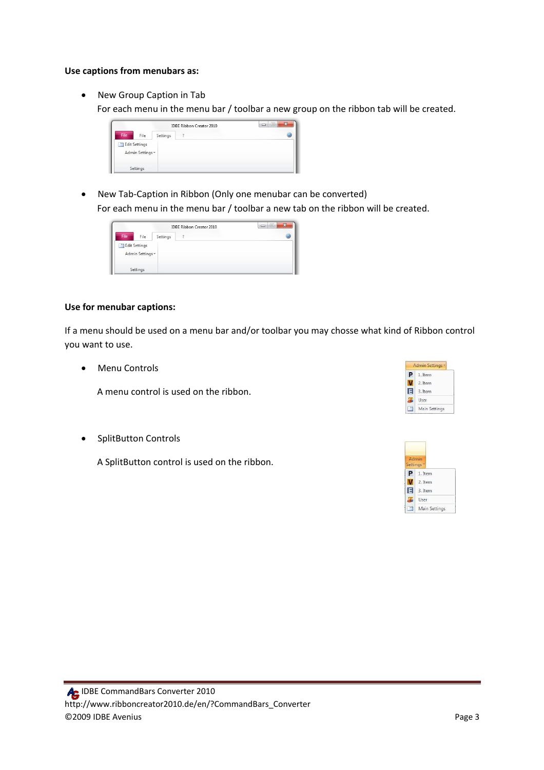### **Use captions from menubars as:**

• New Group Caption in Tab

For each menu in the menu bar / toolbar a new group on the ribbon tab will be created.



• New Tab-Caption in Ribbon (Only one menubar can be converted) For each menu in the menu bar / toolbar a new tab on the ribbon will be created.



## **Use for menubar captions:**

If a menu should be used on a menu bar and/or toolbar you may chosse what kind of Ribbon control you want to use.

• Menu Controls

A menu control is used on the ribbon.

• SplitButton Controls

A SplitButton control is used on the ribbon.